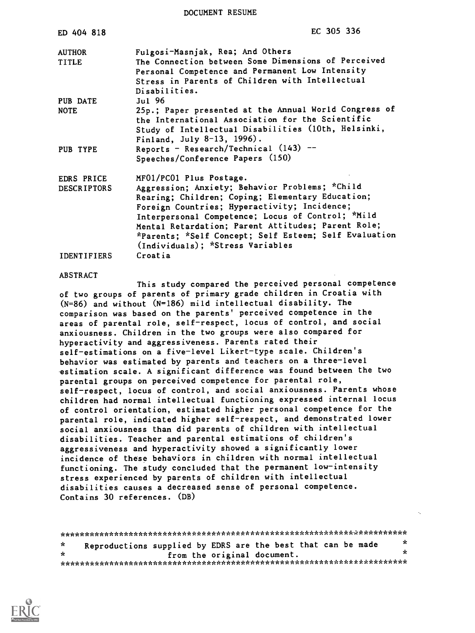DOCUMENT RESUME

| ED 404 818                    | EC 305 336                                                                                                          |
|-------------------------------|---------------------------------------------------------------------------------------------------------------------|
| <b>AUTHOR</b><br><b>TITLE</b> | Fulgosi-Masnjak, Rea; And Others<br>The Connection between Some Dimensions of Perceived                             |
|                               | Personal Competence and Permanent Low Intensity<br>Stress in Parents of Children with Intellectual<br>Disabilities. |
| PUB DATE                      | Jul 96                                                                                                              |
| <b>NOTE</b>                   | 25p.; Paper presented at the Annual World Congress of<br>the International Association for the Scientific           |
|                               | Study of Intellectual Disabilities (10th, Helsinki,                                                                 |
|                               | Finland, July 8-13, 1996).                                                                                          |
| PUB TYPE                      | Reports - Research/Technical $(143)$ --                                                                             |
|                               | Speeches/Conference Papers (150)                                                                                    |
| EDRS PRICE                    | MF01/PC01 Plus Postage.                                                                                             |
| <b>DESCRIPTORS</b>            | Aggression; Anxiety; Behavior Problems; *Child                                                                      |
|                               | Rearing; Children; Coping; Elementary Education;                                                                    |
|                               | Foreign Countries; Hyperactivity; Incidence;                                                                        |
|                               | Interpersonal Competence; Locus of Control; *Mild                                                                   |
|                               | Mental Retardation; Parent Attitudes; Parent Role;                                                                  |
|                               | *Parents; *Self Concept; Self Esteem; Self Evaluation                                                               |
|                               | (Individuals); *Stress Variables                                                                                    |
| <b>IDENTIFIERS</b>            | Croatia                                                                                                             |

#### ABSTRACT

This study compared the perceived personal competence of two groups of parents of primary grade children in Croatia with (N=86) and without (N=186) mild intellectual disability. The comparison was based on the parents' perceived competence in the areas of parental role, self-respect, locus of control, and social anxiousness. Children in the two groups were also compared for hyperactivity and aggressiveness. Parents rated their self-estimations on a five-level Likert-type scale. Children's behavior was estimated by parents and teachers on a three-level estimation scale. A significant difference was found between the two parental groups on perceived competence for parental role, self-respect, locus of control, and social anxiousness. Parents whose children had normal intellectual functioning expressed internal locus of control orientation, estimated higher personal competence for the parental role, indicated higher self-respect, and demonstrated lower social anxiousness than did parents of children with intellectual disabilities. Teacher and parental estimations of children's aggressiveness and hyperactivity showed a significantly lower incidence of these behaviors in children with normal intellectual functioning. The study concluded that the permanent low-intensity stress experienced by parents of children with intellectual disabilities causes a decreased sense of personal competence. Contains 30 references. (DB)

\*\*\*\*\*\*\*\*\*\*\*\*\*\*\*\*\*\*\*\*\*\*\*\*\*\*\*\*\*\*\*\*\*\*\*\*\*\*\*\*\*\*\*\*\*\*\*\*\*\*\*\*\*\*\*\*\*\*\*\*\*\*\*\*\*\*\*\*\*\*\* Reproductions supplied by EDRS are the best that can be made  $\frac{x}{x}$  $\mathbf{x}$ from the original document. \*\*\*\*\*\*\*\*\*\*\*\*\*\*\*\*\*\*\*\*\*\*\*\*\*\*\*\*\*\*\*\*\*\*\*\*\*\*\*\*\*\*\*\*\*\*\*\*\*\*\*\*\*\*\*\*\*\*\*\*\*\*\*\*\*\*\*\*\*\*\*

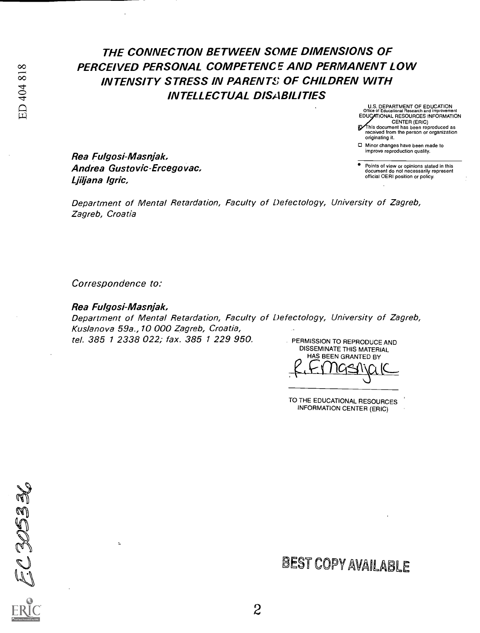# THE CONNECTION BETWEEN SOME DIMENSIONS OF PERCEIVED PERSONAL COMPETENC E AND PERMANENT LOW INTENSITY STRESS IN PARENTS OF CHILDREN WITH INTELLECTUAL DISABILITIES

U.S. DEPARTMENT OF EDUCATION Office of Educational Research and Improvement EDUCATIONAL RESOURCES INFORMATION CENTER (ERIC) his document has been reproduced as received from the person or organization

originating it. Minor changes have been made to

improve reproduction quality.

Points of view or opinions stated in this document do not necessarily represent official OERI position or policy.

Rea Fulgosi-Masnjak, Andrea Gustovic-Ercegovac, Ljiljana Igric,

Department of Mental Retardation, Faculty of Defectology, University of Zagreb, Zagreb, Croatia

Correspondence to:

Rea Fulgosi-Masnjak,

ż

Department of Mental Retardation, Faculty of Defectology, University of Zagreb, Kuslanova 59a., 10 000 Zagreb, Croatia, tel. 385 1 2338 022; fax. 385 1 229 950. PERMISSION TO REPRODUCE AND

DISSEMINATE THIS MATERIAL HAS BEEN GRANTED BY masnak

TO THE EDUCATIONAL RESOURCES INFORMATION CENTER (ERIC)

ECROSE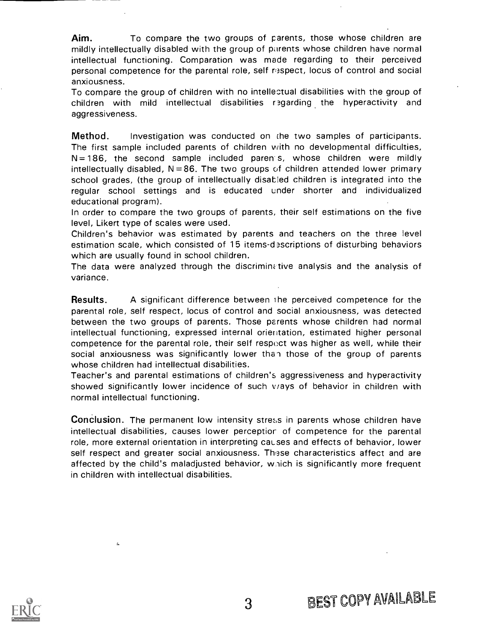Aim. To compare the two groups of parents, those whose children are mildly intellectually disabled with the group of parents whose children have normal intellectual functioning. Comparation was made regarding to their perceived personal competence for the parental role, self respect, locus of control and social anxiousness.

To compare the group of children with no intellectual disabilities with the group of children with mild intellectual disabilities regarding the hyperactivity and aggressiveness.

Method. Investigation was conducted on the two samples of participants. The first sample included parents of children with no developmental difficulties,  $N = 186$ , the second sample included parents, whose children were mildly intellectually disabled,  $N = 86$ . The two groups of children attended lower primary school grades, (the group of intellectually disabled children is integrated into the regular school settings and is educated under shorter and individualized educational program).

In order to compare the two groups of parents, their self estimations on the five level, Likert type of scales were used.

Children's behavior was estimated by parents and teachers on the three level estimation scale, which consisted of 15 items-descriptions of disturbing behaviors which are usually found in school children.

The data were analyzed through the discriminative analysis and the analysis of variance.

**Results.** A significant difference between the perceived competence for the parental role, self respect, locus of control and social anxiousness, was detected between the two groups of parents. Those parents whose children had normal intellectual functioning, expressed internal orientation, estimated higher personal competence for the parental role, their self respect was higher as well, while their social anxiousness was significantly lower than those of the group of parents whose children had intellectual disabilities.

Teacher's and parental estimations of children's aggressiveness and hyperactivity showed significantly lower incidence of such viays of behavior in children with normal intellectual functioning.

Conclusion. The permanent low intensity stress in parents whose children have intellectual disabilities, causes lower perceptior of competence for the parental role, more external orientation in interpreting causes and effects of behavior, lower self respect and greater social anxiousness. These characteristics affect and are affected by the child's maladjusted behavior, which is significantly more frequent in children with intellectual disabilities.



 $\Delta$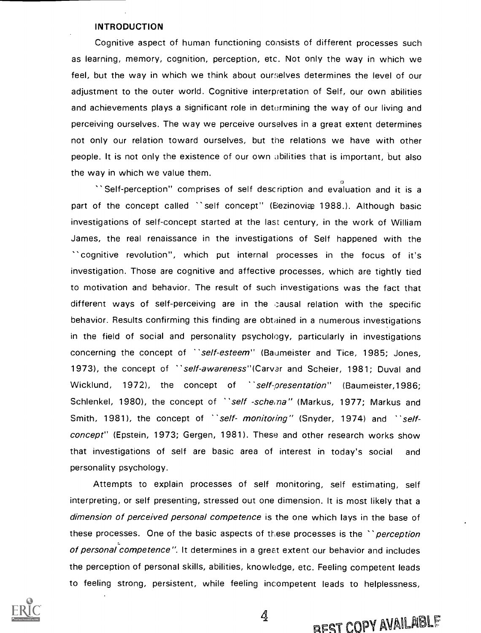#### INTRODUCTION

Cognitive aspect of human functioning consists of different processes such as learning, memory, cognition, perception, etc. Not only the way in which we feel, but the way in which we think about ourselves determines the level of our adjustment to the outer world. Cognitive interpretation of Self, our own abilities and achievements plays a significant role in determining the way of our living and perceiving ourselves. The way we perceive ourselves in a great extent determines not only our relation toward ourselves, but the relations we have with other people. It is not only the existence of our own abilities that is important, but also the way in which we value them.

0 Self-perception" comprises of self description and evaluation and it is a part of the concept called "self concept" (Bezinoviæ 1988.). Although basic investigations of self-concept started at the last century, in the work of William James, the real renaissance in the investigations of Self happened with the Cognitive revolution", which put internal processes in the focus of it's investigation. Those are cognitive and affective processes, which are tightly tied to motivation and behavior. The result of such investigations was the fact that different ways of self-perceiving are in the causal relation with the specific behavior. Results confirming this finding are obtained in a numerous investigations in the field of social and personality psychology, particularly in investigations concerning the concept of "self-esteem" (Baumeister and Tice, 1985; Jones, 1973), the concept of "self-awareness"(Carvar and Scheier, 1981; Duval and Wicklund, 1972), the concept of "self-presentation" (Baumeister, 1986; Schlenkel, 1980), the concept of *``self -schena''* (Markus, 1977; Markus and Smith, 1981), the concept of "self- monitoring" (Snyder, 1974) and "selfconcept" (Epstein, 1973; Gergen, 1981). These and other research works show that investigations of self are basic area of interest in today's social and personality psychology.

Attempts to explain processes of self monitoring, self estimating, self interpreting, or self presenting, stressed out one dimension. It is most likely that a dimension of perceived personal competence is the one which lays in the base of these processes. One of the basic aspects of these processes is the "perception" of personal competence". It determines in a great extent our behavior and includes the perception of personal skills, abilities, knowledge, etc. Feeling competent leads to feeling strong, persistent, while feeling incompetent leads to helplessness,



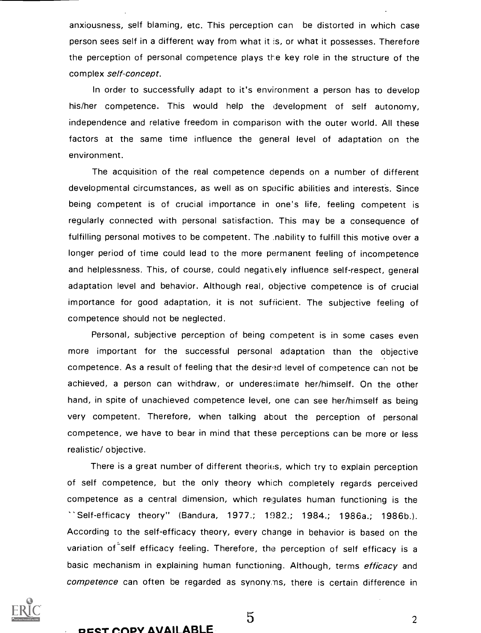anxiousness, self blaming, etc. This perception can be distorted in which case person sees self in a different way from what it Is, or what it possesses. Therefore the perception of personal competence plays the key role in the structure of the complex self-concept.

In order to successfully adapt to it's environment a person has to develop his/her competence. This would help the development of self autonomy, independence and relative freedom in comparison with the outer world. All these factors at the same time influence the general level of adaptation on the environment.

The acquisition of the real competence depends on a number of different developmental circumstances, as well as on specific abilities and interests. Since being competent is of crucial importance in one's life, feeling competent is regularly connected with personal satisfaction. This may be a consequence of fulfilling personal motives to be competent. The .nability to fulfill this motive over a longer period of time could lead to the more permanent feeling of incompetence and helplessness. This, of course, could negatively influence self-respect, general adaptation level and behavior. Although real, objective competence is of crucial importance for good adaptation, it is not sufficient. The subjective feeling of competence should not be neglected.

Personal, subjective perception of being competent is in some cases even more important for the successful personal adaptation than the objective competence. As a result of feeling that the desired level of competence can not be achieved, a person can withdraw, or underescimate her/himself. On the other hand, in spite of unachieved competence level, one can see her/himself as being very competent. Therefore, when talking about the perception of personal competence, we have to bear in mind that these perceptions can be more or less realistic/ objective.

There is a great number of different theories, which try to explain perception of self competence, but the only theory which completely regards perceived competence as a central dimension, which regulates human functioning is the Self-efficacy theory" (Bandura, 1977.; 1982.; 1984.; 1986a.; 1986b.). According to the self-efficacy theory, every change in behavior is based on the variation of self efficacy feeling. Therefore, the perception of self efficacy is a basic mechanism in explaining human functioning. Although, terms efficacy and competence can often be regarded as synonyins, there is certain difference in



DEST COPY AVAILABL

 $5$  2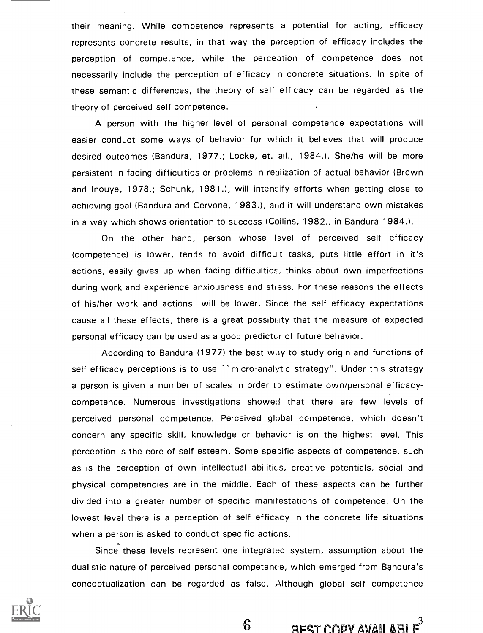their meaning. While competence represents a potential for acting, efficacy represents concrete results, in that way the perception of efficacy includes the perception of competence, while the perception of competence does not necessarily include the perception of efficacy in concrete situations. In spite of these semantic differences, the theory of self efficacy can be regarded as the theory of perceived self competence.

A person with the higher level of personal competence expectations will easier conduct some ways of behavior for which it believes that will produce desired outcomes (Bandura, 1977.; Locke, et. all., 1984.). She/he will be more persistent in facing difficulties or problems in realization of actual behavior (Brown and Inouye, 1978.; Schunk, 1981.), will intensify efforts when getting close to achieving goal (Bandura and Cervone, 1983.), and it will understand own mistakes in a way which shows orientation to success (Collins, 1982., in Bandura 1984.).

On the other hand, person whose I3vel of perceived self efficacy (competence) is lower, tends to avoid difficult tasks, puts little effort in it's actions, easily gives up when facing difficulties, thinks about own imperfections during work and experience anxiousness and strass. For these reasons the effects of his/her work and actions will be lower. Since the self efficacy expectations cause all these effects, there is a great possibi ity that the measure of expected personal efficacy can be used as a good predictor of future behavior.

According to Bandura (1977) the best way to study origin and functions of self efficacy perceptions is to use "micro-analytic strategy". Under this strategy a person is given a number of scales in order to estimate own/personal efficacycompetence. Numerous investigations showed that there are few levels of perceived personal competence. Perceived global competence, which doesn't concern any specific skill, knowledge or behavior is on the highest level. This perception is the core of self esteem. Some specific aspects of competence, such as is the perception of own intellectual abilitics, creative potentials, social and physical competencies are in the middle. Each of these aspects can be further divided into a greater number of specific manifestations of competence. On the lowest level there is a perception of self efficacy in the concrete life situations when a person is asked to conduct specific acticns.

Since these levels represent one integrated system, assumption about the dualistic nature of perceived personal competence, which emerged from Bandura's conceptualization can be regarded as false. Although global self competence



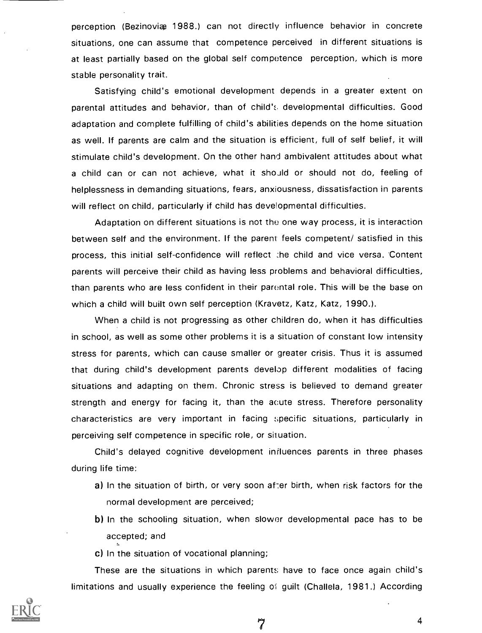perception (Bezinovize 1988.) can not directly influence behavior in concrete situations, one can assume that competence perceived in different situations is at least partially based on the global self competence perception, which is more stable personality trait.

Satisfying child's emotional development depends in a greater extent on parental attitudes and behavior, than of child's developmental difficulties. Good adaptation and complete fulfilling of child's abilities depends on the home situation as well. If parents are calm and the situation is efficient, full of self belief, it will stimulate child's development. On the other hand ambivalent attitudes about what a child can or can not achieve, what it should or should not do, feeling of helplessness in demanding situations, fears, anxiousness, dissatisfaction in parents will reflect on child, particularly if child has developmental difficulties.

Adaptation on different situations is not the one way process, it is interaction between self and the environment. If the parent feels competent/ satisfied in this process, this initial self-confidence will reflect The child and vice versa. 'Content parents will perceive their child as having less problems and behavioral difficulties, than parents who are less confident in their parental role. This will be the base on which a child will built own self perception (Kravetz, Katz, Katz, 1990.).

When a child is not progressing as other children do, when it has difficulties in school, as well as some other problems it is a situation of constant low intensity stress for parents, which can cause smaller or greater crisis. Thus it is assumed that during child's development parents develop different modalities of facing situations and adapting on them. Chronic stress is believed to demand greater strength and energy for facing it, than the acute stress. Therefore personality characteristics are very important in facing specific situations, particularly in perceiving self competence in specific role, or situation.

Child's delayed cognitive development influences parents in three phases during life time:

- a) In the situation of birth, or very soon after birth, when risk factors for the normal development are perceived;
- b) In the schooling situation, when slower developmental pace has to be accepted; and
- c) In the situation of vocational planning;

These are the situations in which parents have to face once again child's limitations and usually experience the feeling of guilt (Challela, 1981.) According

 $\tilde{a}$ 



4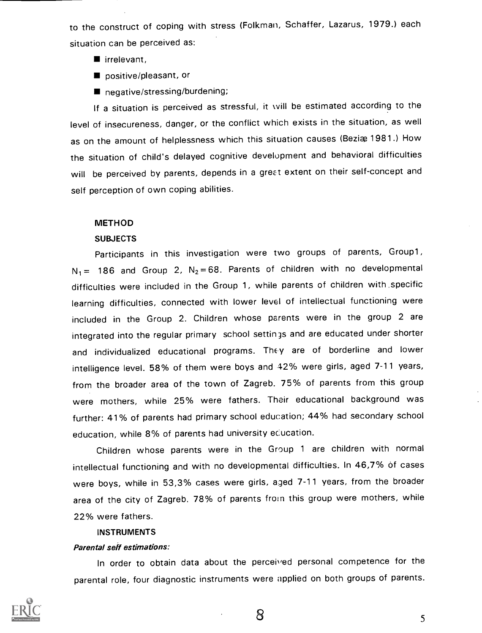to the construct of coping with stress (Folkman, Schaffer, Lazarus, 1979.) each situation can be perceived as:

- $\blacksquare$  irrelevant,
- positive/pleasant, or
- negative/stressing/burdening;

If a situation is perceived as stressful, it will be estimated according to the level of insecureness, danger, or the conflict which exists in the situation, as well as on the amount of helplessness which this situation causes (Beziæ 1981.) How the situation of child's delayed cognitive development and behavioral difficulties will be perceived by parents, depends in a great extent on their self-concept and self perception of own coping abilities.

#### METHOD

#### SUBJECTS

Participants in this investigation were two groups of parents, Group1,  $N_1$  = 186 and Group 2,  $N_2$  = 68. Parents of children with no developmental difficulties were included in the Group 1, while parents of children with .specific learning difficulties, connected with lower level of intellectual functioning were included in the Group 2. Children whose parents were in the group 2 are integrated into the regular primary school settings and are educated under shorter and individualized educational programs. They are of borderline and lower intelligence level. 58% of them were boys and 42% were girls, aged 7-11 years, from the broader area of the town of Zagreb. 75% of parents from this group were mothers, while 25% were fathers. Their educational background was further: 41 % of parents had primary school education; 44% had secondary school education, while 8% of parents had university ecucation.

Children whose parents were in the Group <sup>1</sup> are children with normal intellectual functioning and with no developmental difficulties. In 46,7% of cases were boys, while in 53,3% cases were girls, aged 7-11 years, from the broader area of the city of Zagreb. 78% of parents from this group were mothers, while 22% were fathers.

#### INSTRUMENTS

#### Parental self estimations:

In order to obtain data about the perceived personal competence for the parental role, four diagnostic instruments were ipplied on both groups of parents.



8 <sup>5</sup>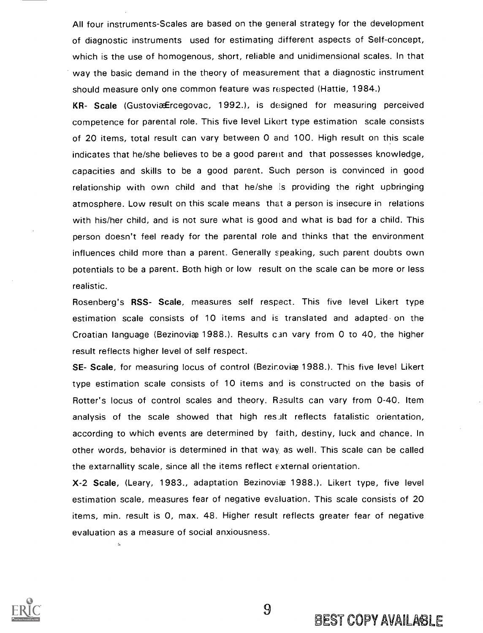All four instruments-Scales are based on the general strategy for the development of diagnostic instruments used for estimating different aspects of Self-concept, which is the use of homogenous, short, reliable and unidimensional scales. In that way the basic demand in the theory of measurement that a diagnostic instrument should measure only one common feature was respected (Hattie, 1984.)

KR- Scale (Gustovia Ercegovac, 1992.), is designed for measuring perceived competence for parental role. This five level Likert type estimation scale consists of 20 items, total result can vary between 0 and 100. High result on this scale indicates that he/she believes to be a good parent and that possesses knowledge, capacities and skills to be a good parent. Such person is convinced in good relationship with own child and that he/she is providing the right upbringing atmosphere. Low result on this scale means that a person is insecure in relations with his/her child, and is not sure what is good and what is bad for a child. This person doesn't feel ready for the parental role and thinks that the environment influences child more than a parent. Generally speaking, such parent doubts own potentials to be a parent. Both high or low result on the scale can be more or less realistic.

Rosenberg's RSS- Scale, measures self respect. This five level Likert type estimation scale consists of 10 items and is translated and adapted on the Croatian language (Bezinoviæ 1988.). Results can vary from 0 to 40, the higher result reflects higher level of self respect.

SE- Scale, for measuring locus of control (Bezinoviæ 1988.). This five level Likert type estimation scale consists of 10 items and is constructed on the basis of Rotter's locus of control scales and theory. Results can vary from 0-40. Item analysis of the scale showed that high result reflects fatalistic orientation, according to which events are determined by faith, destiny, luck and chance. In other words, behavior is determined in that way as well. This scale can be called the extarnallity scale, since all the items reflect  $\epsilon$ xternal orientation.

X-2 Scale, (Leary, 1983., adaptation Bezinoviæ 1988.). Likert type, five level estimation scale, measures fear of negative evaluation. This scale consists of 20 items, min. result is 0, max. 48. Higher result reflects greater fear of negative evaluation as a measure of social anxiousness.

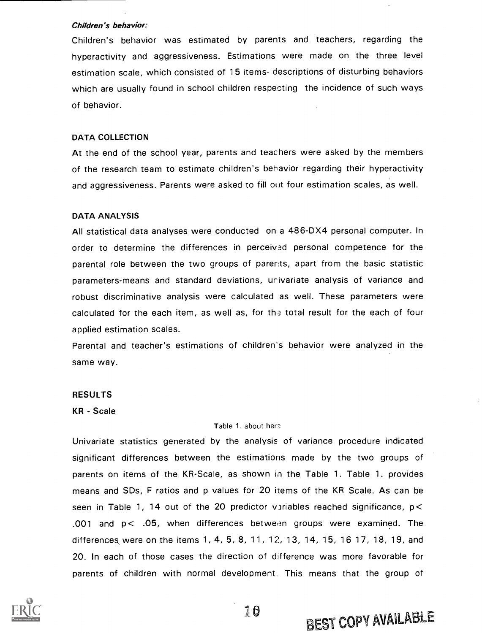#### Children's behavior:

Children's behavior was estimated by parents and teachers, regarding the hyperactivity and aggressiveness. Estimations were made on the three level estimation scale, which consisted of 15 items- descriptions of disturbing behaviors which are usually found in school children respecting the incidence of such ways of behavior.

#### DATA COLLECTION

At the end of the school year, parents and teachers were asked by the members of the research team to estimate children's behavior regarding their hyperactivity and aggressiveness. Parents were asked to fill out four estimation scales, as well.

#### DATA ANALYSIS

All statistical data analyses were conducted on a 486-DX4 personal computer. In order to determine the differences in perceived personal competence for the parental role between the two groups of parents, apart from the basic statistic parameters-means and standard deviations, urivariate analysis of variance and robust discriminative analysis were calculated as well. These parameters were calculated for the each item, as well as, for the total result for the each of four applied estimation scales.

Parental and teacher's estimations of children's behavior were analyzed in the same way.

#### RESULTS

### KR - Scale

#### Table 1. about here

Univariate statistics generated by the analysis of variance procedure indicated significant differences between the estimations made by the two groups of parents on items of the KR-Scale, as shown in the Table 1. Table 1. provides means and SDs, F ratios and p values for 20 items of the KR Scale. As can be seen in Table 1, 14 out of the 20 predictor variables reached significance, p< .001 and  $p < .05$ , when differences between groups were examined. The differences were on the items 1, 4, 5, 8, 11, 12, 13, 14, 15, 16 17, 18, 19, and 20. In each of those cases the direction of difference was more favorable for parents of children with normal development. This means that the group of

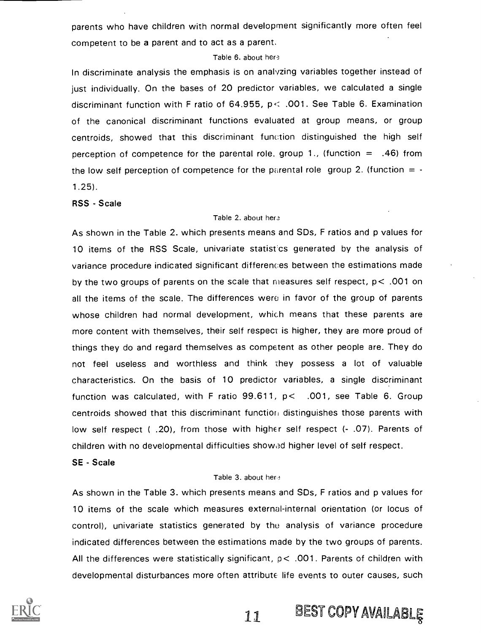parents who have children with normal development significantly more often feel competent to be a parent and to act as a parent.

#### Table 6. about here

In discriminate analysis the emphasis is on analyzing variables together instead of just individually. On the bases of 20 predictor variables, we calculated a single discriminant function with F ratio of 64.955, p< .001. See Table 6. Examination of the canonical discriminant functions evaluated at group means, or group centroids, showed that this discriminant function distinguished the high self perception of competence for the parental role. group 1., (function  $=$  .46) from the low self perception of competence for the parental role group 2. (function  $=$  -1.25).

#### RSS - Scale

#### Table 2. about here

As shown in the Table 2. which presents means and SDs, F ratios and p values for 10 items of the RSS Scale, univariate statistics generated by the analysis of variance procedure indicated significant differences between the estimations made by the two groups of parents on the scale that measures self respect,  $p < .001$  on all the items of the scale. The differences were in favor of the group of parents whose children had normal development, which means that these parents are more content with themselves, their self respect is higher, they are more proud of things they do and regard themselves as competent as other people are. They do not feel useless and worthless and think they possess a lot of valuable characteristics. On the basis of 10 predictor variables, <sup>a</sup> single discriminant function was calculated, with F ratio  $99.611$ ,  $p < .001$ , see Table 6. Group centroids showed that this discriminant function distinguishes those parents with low self respect ( .20), from those with higher self respect (- .07). Parents of children with no developmental difficulties showed higher level of self respect.

#### SE - Scale

#### Table 3. about her

As shown in the Table 3. which presents means and SDs, F ratios and p values for 10 items of the scale which measures external-internal orientation (or locus of control), univariate statistics generated by the analysis of variance procedure indicated differences between the estimations made by the two groups of parents. All the differences were statistically significant,  $p < .001$ . Parents of children with developmental disturbances more often attribute life events to outer causes, such

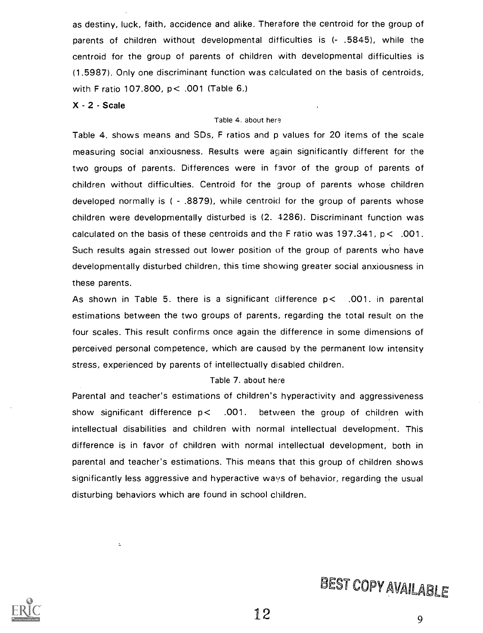as destiny, luck, faith, accidence and alike. Therefore the centroid for the group of parents of children without developmental difficulties is (- .5845), while the centroid for the group of parents of children with developmental difficulties is (1.5987). Only one discriminant function was calculated on the basis of centroids, with F ratio 107.800, p< .001 (Table 6.)

#### $X - 2 - Scale$

#### Table 4. about here

Table 4. shows means and SDs, F ratios and p values for 20 items of the scale measuring social anxiousness. Results were again significantly different for the two groups of parents. Differences were in favor of the group of parents of children without difficulties. Centroid for the group of parents whose children developed normally is  $( -8879)$ , while centroid for the group of parents whose children were developmentally disturbed is (2. 4286). Discriminant function was calculated on the basis of these centroids and the F ratio was  $197.341$ ,  $p < .001$ . Such results again stressed out lower position of the group of parents who have developmentally disturbed children, this time showing greater social anxiousness in these parents.

As shown in Table 5. there is a significant difference  $p < 0.001$ . in parental estimations between the two groups of parents, regarding the total result on the four scales. This result confirms once again the difference in some dimensions of perceived personal competence, which are caused by the permanent low intensity stress, experienced by parents of intellectually disabled children.

#### Table 7. about here

Parental and teacher's estimations of children's hyperactivity and aggressiveness show significant difference p< .001. between the group of children with intellectual disabilities and children with normal intellectual development. This difference is in favor of children with normal intellectual development, both in parental and teacher's estimations. This means that this group of children shows significantly less aggressive and hyperactive ways of behavior, regarding the usual disturbing behaviors which are found in school children.



ċ,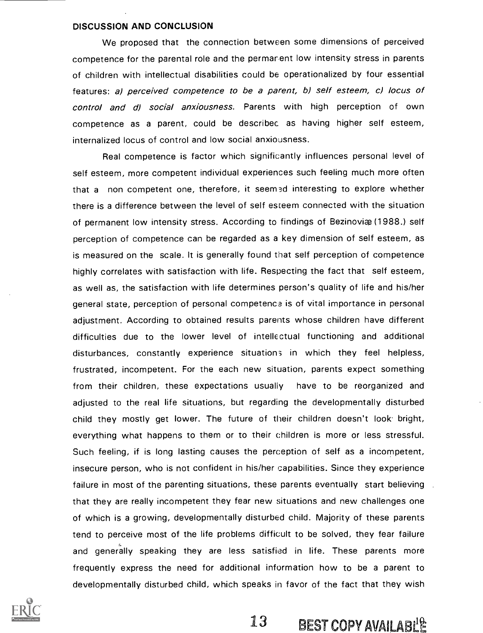#### DISCUSSION AND CONCLUSION

We proposed that the connection between some dimensions of perceived competence for the parental role and the permar ent low intensity stress in parents of children with intellectual disabilities could be operationalized by four essential features: a) perceived competence to be a parent, b) self esteem, c) locus of control and d) social anxiousness. Parents with high perception of own competence as a parent, could be describec as having higher self esteem, internalized locus of control and low social anxiousness.

Real competence is factor which significantly influences personal level of self esteem, more competent individual experiences such feeling much more often that a non competent one, therefore, it seemed interesting to explore whether there is a difference between the level of self esteem connected with the situation of permanent low intensity stress. According to findings of Bezinoviæ (1988.) self perception of competence can be regarded as a key dimension of self esteem, as is measured on the scale. It is generally found that self perception of competence highly correlates with satisfaction with life. Respecting the fact that self esteem, as well as, the satisfaction with life determines person's quality of life and his/her general state, perception of personal competence is of vital importance in personal adjustment. According to obtained results parents whose children have different difficulties due to the lower level of intellectual functioning and additional disturbances, constantly experience situations in which they feel helpless, frustrated, incompetent. For the each new situation, parents expect something from their children, these expectations usually have to be reorganized and adjusted to the real life situations, but regarding the developmentally disturbed child they mostly get lower. The future of their children doesn't look- bright, everything what happens to them or to their children is more or less stressful. Such feeling, if is long lasting causes the perception of self as a incompetent, insecure person, who is not confident in his/her capabilities. Since they experience failure in most of the parenting situations, these parents eventually start believing that they are really incompetent they fear new situations and new challenges one of which is a growing, developmentally disturbed child. Majority of these parents tend to perceive most of the life problems difficult to be solved, they fear failure and generally speaking they are less satisfied in life. These parents more frequently express the need for additional information how to be a parent to developmentally disturbed child, which speaks in favor of the fact that they wish

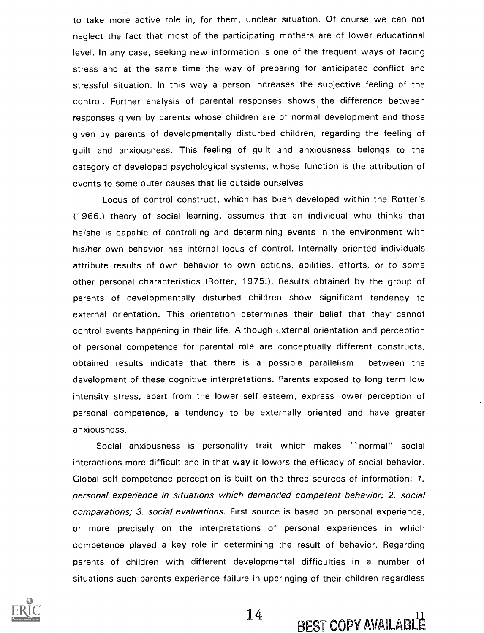to take more active role in, for them, unclear situation. Of course we can not neglect the fact that most of the participating mothers are of lower educational level. In any case, seeking new information is one of the frequent ways of facing stress and at the same time the way of preparing for anticipated conflict and stressful situation. In this way a person increases the subjective feeling of the control. Further analysis of parental responses shows the difference between responses given by parents whose children are of normal development and those given by parents of developmentally disturbed children, regarding the feeling of guilt and anxiousness. This feeling of guilt and anxiousness belongs to the category of developed psychological systems, whose function is the attribution of events to some outer causes that lie outside ourselves.

Locus of control construct, which has been developed within the Rotter's (1966.) theory of social learning, assumes that an individual who thinks that he/she is capable of controlling and determining events in the environment with his/her own behavior has internal locus of control. Internally oriented individuals attribute results of own behavior to own actions, abilities, efforts, or to some other personal characteristics (Rotter, 1975.). Results obtained by the group of parents of developmentally disturbed children show significant tendency to external orientation. This orientation determines their belief that they cannot control events happening in their life. Although  $ext{external orientation}$  and perception of personal competence for parental role are conceptually different constructs, obtained results indicate that there is <sup>a</sup> possible parallelism between the development of these cognitive interpretations. Parents exposed to long term low intensity stress, apart from the lower self esteem, express lower perception of personal competence, a tendency to be externally oriented and have greater anxiousness.

Social anxiousness is personality trait which makes ``normal" social interactions more difficult and in that way it lowers the efficacy of social behavior. Global self competence perception is built on the three sources of information: 1. personal experience in situations which demanded competent behavior; 2. social comparations; 3. social evaluations. First source is based on personal experience, or more precisely on the interpretations of personal experiences in which competence played a key role in determining the result of behavior. Regarding parents of children with different developmental difficulties in a number of situations such parents experience failure in upbringing of their children regardless



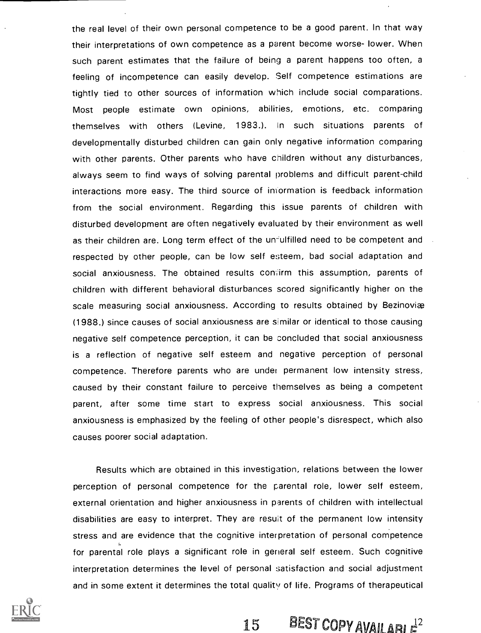the real level of their own personal competence to be a good parent. In that way their interpretations of own competence as a parent become worse- lower. When such parent estimates that the failure of being a parent happens too often, a feeling of incompetence can easily develop. Self competence estimations are tightly tied to other sources of information which include social comparations. Most people estimate own opinions, abilities, emotions, etc. comparing themselves with others (Levine, 1983.). In such situations parents of developmentally disturbed children can gain only negative information comparing with other parents. Other parents who have children without any disturbances, always seem to find ways of solving parental problems and difficult parent-child interactions more easy. The third source of information is feedback information from the social environment. Regarding this issue parents of children with disturbed development are often negatively evaluated by their environment as well as their children are. Long term effect of the unfulfilled need to be competent and respected by other people, can be low self esteem, bad social adaptation and social anxiousness. The obtained results convirm this assumption, parents of children with different behavioral disturbances scored significantly higher on the scale measuring social anxiousness. According to results obtained by Bezinoviæ (1988.) since causes of social anxiousness are similar or identical to those causing negative self competence perception, it can be concluded that social anxiousness is <sup>a</sup> reflection of negative self esteem and negative perception of personal competence. Therefore parents who are under permanent low intensity stress, caused by their constant failure to perceive themselves as being a competent parent, after some time start to express social anxiousness. This social anxiousness is emphasized by the feeling of other people's disrespect, which also causes poorer social adaptation.

Results which are obtained in this investigation, relations between the lower perception of personal competence for the parental role, lower self esteem, external orientation and higher anxiousness in parents of children with intellectual disabilities are easy to interpret. They are result of the permanent low intensity stress and are evidence that the cognitive interpretation of personal competence for parental role plays a significant role in general self esteem. Such cognitive interpretation determines the level of personal satisfaction and social adjustment and in some extent it determines the total quality of life. Programs of therapeutical



15 BEST COPY AVAILARI $F^2$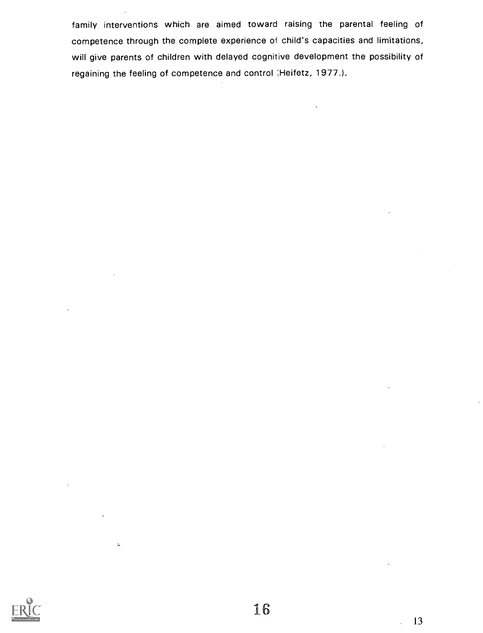family interventions which are aimed toward raising the parental feeling of competence through the complete experience of child's capacities and limitations, will give parents of children with delayed cognitive development the possibility of regaining the feeling of competence and control ;Heifetz, 1977.).



 $\tilde{\mathbf{z}}$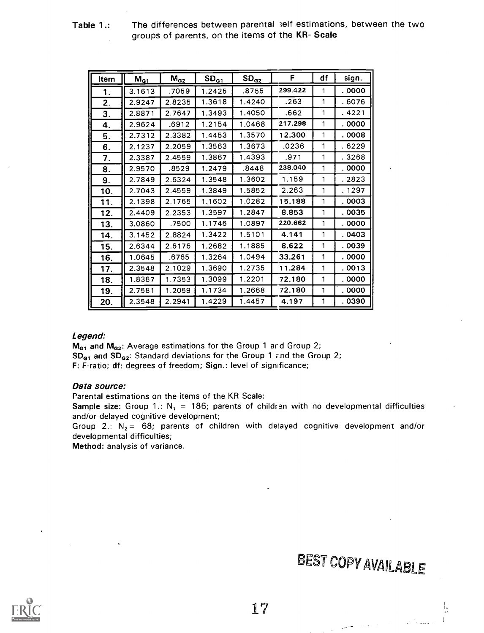| Item | $M_{G1}$ | $M_{\rm G2}$ | SD <sub>g1</sub> | SD <sub>02</sub> | F       | df | sign.  |
|------|----------|--------------|------------------|------------------|---------|----|--------|
| 1.   | 3.1613   | .7059        | 1.2425           | .8755            | 299.422 | 1  | . 0000 |
| 2.   | 2.9247   | 2.8235       | 1.3618           | 1.4240           | .263    | 1  | . 6076 |
| 3.   | 2.8871   | 2.7647       | 1.3493           | 1.4050           | .662    | 1  | . 4221 |
| 4.   | 2.9624   | .6912        | 1.2154           | 1.0468           | 217.298 | 1  | . 0000 |
| 5.   | 2.7312   | 2.3382       | 1.4453           | 1.3570           | 12.300  | 1  | . 0008 |
| 6.   | 2.1237   | 2.2059       | 1.3563           | 1.3673           | .0236   | 1  | . 6229 |
| 7.   | 2.3387   | 2.4559       | 1.3867           | 1.4393           | .971    | 1  | . 3268 |
| 8.   | 2.9570   | .8529        | 1.2479           | .8448            | 238.040 | 1  | . 0000 |
| 9.   | 2.7849   | 2.6324       | 1.3548           | 1.3602           | 1.159   | 1  | . 2823 |
| 10.  | 2.7043   | 2.4559       | 1.3849           | 1.5852           | 2.263   | 1  | . 1297 |
| 11.  | 2.1398   | 2.1765       | 1.1602           | 1.0282           | 15.188  | 1  | . 0003 |
| 12.  | 2.4409   | 2.2353       | 1.3597           | 1.2847           | 8.853   | 1  | . 0035 |
| 13.  | 3.0860   | .7500        | 1.1746           | 1.0897           | 220.662 | 1  | . 0000 |
| 14.  | 3.1452   | 2.8824       | 1.3422           | 1.5101           | 4.141   | 1  | . 0403 |
| 15.  | 2.6344   | 2.6176       | 1.2682           | 1.1885           | 8.622   | 1  | . 0039 |
| 16.  | 1.0645   | .6765        | 1.3264           | 1.0494           | 33.261  | 1  | . 0000 |
| 17.  | 2.3548   | 2.1029       | 1.3690           | 1.2735           | 11.284  | 1  | . 0013 |
| 18.  | 1.8387   | 1.7353       | 1.3099           | 1.2201           | 72.180  | 1  | . 0000 |
| 19.  | 2.7581   | 1.2059       | 1.1734           | 1.2668           | 72.180  | 1  | . 0000 |
| 20.  | 2.3548   | 2.2941       | 1.4229           | 1.4457           | 4.197   | 1  | . 0390 |

Table 1.: The differences between parental ;elf estimations, between the two groups of parents, on the items of the KR- Scale

#### Legend:

 $M<sub>G1</sub>$  and  $M<sub>G2</sub>$ : Average estimations for the Group 1 ard Group 2;  $SD<sub>G1</sub>$  and  $SD<sub>G2</sub>$ : Standard deviations for the Group 1 and the Group 2; F: F-ratio; df: degrees of freedom; Sign.: level of significance;

#### Data source:

Parental estimations on the items of the KR Scale;

Sample size: Group 1.:  $N_1 = 186$ ; parents of children with no developmental difficulties and/or delayed cognitive development;

Group 2.:  $N_2 = 68$ ; parents of children with delayed cognitive development and/or developmental difficulties;

Method: analysis of variance.

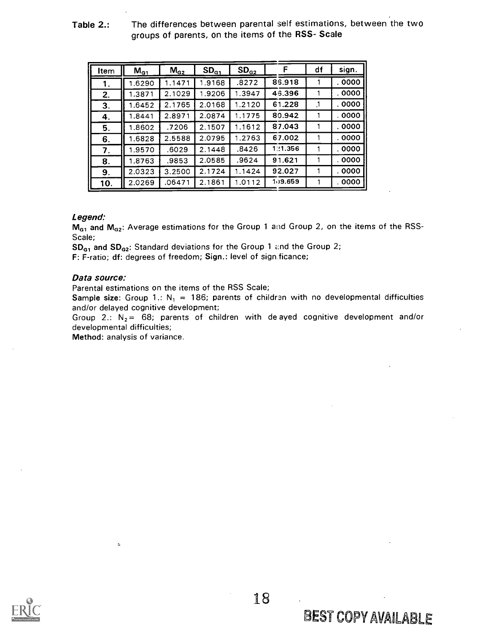Table 2.: The differences between parental self estimations, between the two groups of parents, on the items of the RSS- Scale

| ltem | M <sub>G1</sub> | $M_{G2}$ | $SD_{G_1}$ | $SD_{G2}$ | F       | df | sign.  |
|------|-----------------|----------|------------|-----------|---------|----|--------|
| 1.   | .6290           | 1.1471   | 1.9168     | .8272     | 86.918  |    | .0000  |
| 2.   | .3871           | 2.1029   | 1.9206     | 1.3947    | 46.396  |    | . 0000 |
| 3.   | .6452           | 2.1765   | 2.0168     | 1.2120    | 61.228  | ٦. | . 0000 |
| 4.   | .8441           | 2.8971   | 2.0874     | 1.1775    | 80.942  |    | .0000  |
| 5.   | .8602           | .7206    | 2.1507     | 1.1612    | 87.043  |    | . 0000 |
| 6.   | 1.6828          | 2.5588   | 2.0795     | 1.2763    | 67.002  |    | . 0000 |
| 7.   | 1.9570          | .6029    | 2.1448     | .8426     | 121.356 |    | . 0000 |
| 8.   | 1.8763          | .9853    | 2.0585     | .9624     | 91.621  |    | .0000  |
| 9.   | 2.0323          | 3.2500   | 2.1724     | 1.1424    | 92.027  |    | . 0000 |
| 10.  | 2.0269          | .06471   | 2.1861     | 1.0112    | 109.659 |    | .0000  |

#### Legend:

 $M<sub>G1</sub>$  and  $M<sub>G2</sub>$ : Average estimations for the Group 1 and Group 2, on the items of the RSS-Scale;

 $SD_{G1}$  and  $SD_{G2}$ : Standard deviations for the Group 1 and the Group 2;

F: F-ratio; df: degrees of freedom; Sign.: level of sign ficance;

#### Data source:

Parental estimations on the items of the RSS Scale;

Sample size: Group 1.:  $N_1 = 186$ ; parents of children with no developmental difficulties and/or delayed cognitive development;

Group 2.:  $N_2 = 68$ ; parents of children with de ayed cognitive development and/or developmental difficulties;

Method: analysis of variance.

 $\Delta$ 

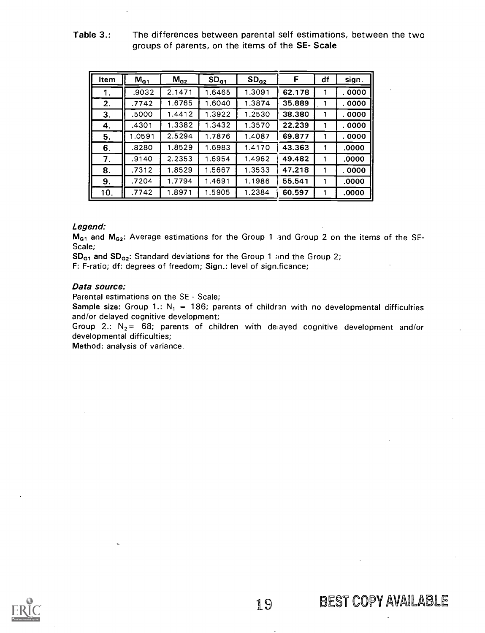| Item | $M_{q1}$ | $M_{\rm G2}$ | SD <sub>q1</sub> | $SD_{02}$ | F      | df | sign.  |
|------|----------|--------------|------------------|-----------|--------|----|--------|
| 1.   | .9032    | 2.1471       | 1.6465           | 1.3091    | 62.178 |    | .0000  |
| 2.   | .7742    | 1.6765       | 1.6040           | 1.3874    | 35.889 |    | . 0000 |
| 3.   | .5000    | 1.4412       | 1.3922           | 1.2530    | 38.380 |    | . 0000 |
| 4.   | .4301    | 1.3382       | 1.3432           | 1.3570    | 22.239 |    | . 0000 |
| 5.   | 1.0591   | 2.5294       | 1.7876           | 1.4087    | 69.877 |    | . 0000 |
| 6.   | .8280    | 1.8529       | 1.6983           | 1.4170    | 43.363 |    | .0000  |
| 7.   | .9140    | 2.2353       | 1.6954           | 1.4962    | 49.482 |    | .0000  |
| 8.   | .7312    | 1.8529       | 1.5667           | 1.3533    | 47.218 |    | . 0000 |
| 9.   | .7204    | 1.7794       | 1.4691           | 1.1986    | 55.541 |    | .0000  |
| 10.  | .7742    | 1.8971       | 1.5905           | 1.2384    | 60.597 |    | .0000  |

Table 3.: The differences between parental self estimations, between the two groups of parents, on the items of the SE- Scale

#### Legend:

 $M<sub>G1</sub>$  and  $M<sub>G2</sub>$ : Average estimations for the Group 1 and Group 2 on the items of the SE-Scale;

 $SD<sub>G1</sub>$  and  $SD<sub>G2</sub>$ : Standard deviations for the Group 1 and the Group 2;

F: F-ratio; df: degrees of freedom; Sign.: level of sign.ficance;

#### Data source:

Parental estimations on the SE - Scale;

Sample size: Group 1.:  $N_1 = 186$ ; parents of children with no developmental difficulties and/or delayed cognitive development;

Group 2.:  $N_2$  = 68; parents of children with de ayed cognitive development and/or developmental difficulties;

Method: analysis of variance.

 $\leq$ 

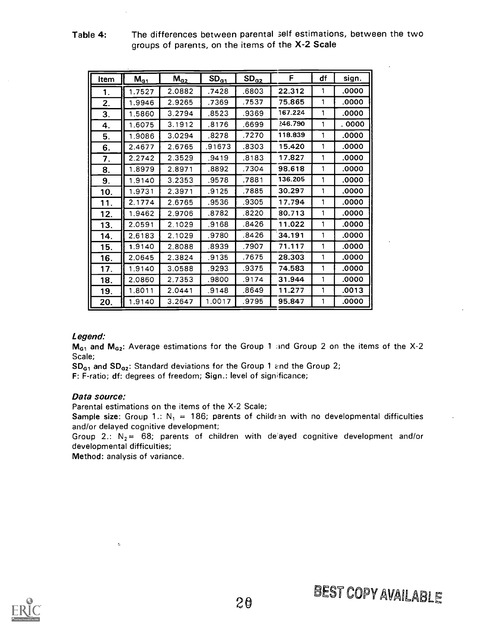| Item | $M_{q_1}$ | $M_{\rm{G2}}$ | $SD_{g_1}$ | $SD_{.02}$ | F.      | df           | sign.  |
|------|-----------|---------------|------------|------------|---------|--------------|--------|
| 1.   | 1.7527    | 2.0882        | .7428      | .6803      | 22.312  | 1            | .0000  |
| 2.   | 1.9946    | 2.9265        | .7369      | .7537      | 75.865  | 1            | .0000  |
| 3.   | 1.5860    | 3.2794        | .8523      | .9369      | 167.224 | 1            | .0000  |
| 4.   | 1.6075    | 3.1912        | .8176      | .6699      | 246.790 | 1            | . 0000 |
| 5.   | 1.9086    | 3.0294        | .8278      | .7270      | 118.839 | 1            | .0000  |
| 6.   | 2.4677    | 2.6765        | .91673     | .8303      | 15.420  | 1            | .0000  |
| 7.   | 2.2742    | 2.3529        | .9419      | .8183      | 17.827  | 1            | .0000  |
| 8.   | 1.8979    | 2.8971        | .8892      | .7304      | 98.618  | 1            | .0000  |
| 9.   | 1.9140    | 3.2353        | .9578      | .7881      | 136.205 | 1            | .0000  |
| 10.  | 1.9731    | 2.3971        | .9125      | .7885      | 30.297  | 1            | .0000  |
| 11.  | 2.1774    | 2.6765        | .9536      | .9305      | 17.794  | 1            | .0000  |
| 12.  | 1.9462    | 2.9706        | .8782      | .8220      | 80.713  | 1            | .0000  |
| 13.  | 2.0591    | 2.1029        | .9168      | .8426      | 11.022  | $\mathbf{1}$ | .0000  |
| 14.  | 2.6183    | 2.1029        | .9780      | .8426      | 34.191  | 1            | .0000  |
| 15.  | 1.9140    | 2.8088        | .8939      | .7907      | 71.117  | 1            | .0000  |
| 16.  | 2.0645    | 2.3824        | .9135      | .7675      | 28.303  | 1            | .0000  |
| 17.  | 1.9140    | 3.0588        | .9293      | .9375      | 74.583  | 1            | .0000  |
| 18.  | 2.0860    | 2.7353        | .9800      | .9174      | 31.944  | 1            | .0000  |
| 19.  | 1.8011    | 2.0441        | .9148      | .8649      | 11.277  | 1            | .0013  |
| 20.  | 1.9140    | 3.2647        | 1.0017     | .9795      | 95.847  | 1            | .0000  |

Table 4: The differences between parental self estimations, between the two groups of parents, on the items of the X-2 Scale

#### Legend:

 $M<sub>G1</sub>$  and  $M<sub>G2</sub>$ : Average estimations for the Group 1 :and Group 2 on the items of the X-2 Scale;

 $SD<sub>G1</sub>$  and  $SD<sub>G2</sub>$ : Standard deviations for the Group 1 and the Group 2;

F: F-ratio; df: degrees of freedom; Sign.: level of significance;

#### Data source:

Parental estimations on the items of the X-2 Scale;

Sample size: Group 1.:  $N_1 = 186$ ; parents of children with no developmental difficulties and/or delayed cognitive development;

Group 2.:  $N_2 = 68$ ; parents of children with delayed cognitive development and/or developmental difficulties;

Method: analysis of variance.

 $\mathbf{r}$ 

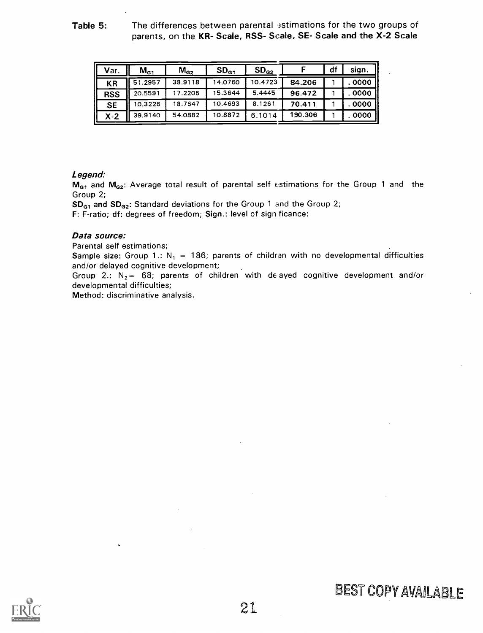**Table 5:** The differences between parental estimations for the two groups of parents, on the KR- Scale, RSS- Scale, SE- Scale and the X-2 Scale

| Var.       | M <sub>G1</sub> | $M_{\rm G2}$ | SD <sub>G1</sub> | SD <sub>62</sub> |         | df | sign. |
|------------|-----------------|--------------|------------------|------------------|---------|----|-------|
| KR         | 51.2957         | 38.9118      | 14.0760          | 10.4723          | 84.206  |    | 0000  |
| <b>RSS</b> | 20.5591         | 17.2206      | 5.3644           | 5.4445           | 96.472  |    | 0000  |
| <b>SE</b>  | 10.3226         | 18.7647      | 10.4693          | 8.1261           | 70.411  |    | 0000  |
| X-2        | 39.9140         | 54.0882      | 10.8872          | 6.1014           | 190.306 |    | 0000  |

#### Legend:

 $M<sub>g1</sub>$  and  $M<sub>g2</sub>$ : Average total result of parental self estimations for the Group 1 and the Group 2;

SD<sub>G1</sub> and SD<sub>G2</sub>: Standard deviations for the Group 1 and the Group 2;

F: F-ratio; df: degrees of freedom; Sign.: level of sign ficance;

#### Data source:

Parental self estimations;

Sample size: Group 1.:  $N_1 = 186$ ; parents of children with no developmental difficulties and/or delayed cognitive development;

Group 2.:  $N_2$  = 68; parents of children with delayed cognitive development and/or developmental difficulties;

Method: discriminative analysis.

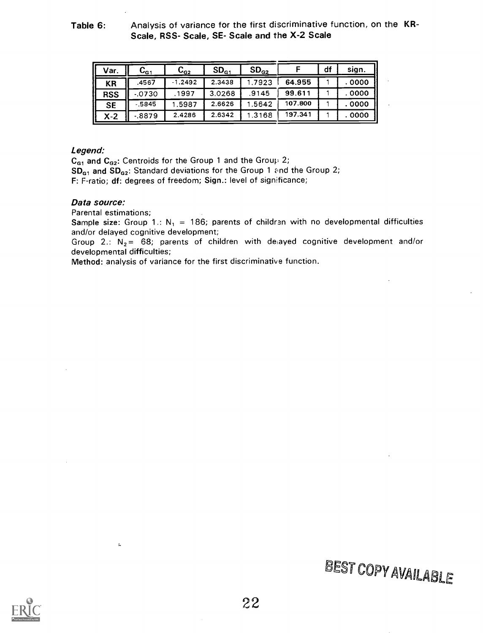## Table 6: Analysis of variance for the first discriminative function, on the KR-Scale, RSS- Scale, SE- Scale and the X-2 Scale

| Var.       | $\mathtt{C}_{\mathtt{G1}}$ | $C_{G2}$  | SD <sub>G1</sub> | SD <sub>02</sub> |         | df | sign. |
|------------|----------------------------|-----------|------------------|------------------|---------|----|-------|
| ΚR         | .4567                      | $-1.2492$ | 2.3438           | .7923            | 64.955  |    | .0000 |
| <b>RSS</b> | -.0730                     | .1997     | 3.0268           | .9145            | 99.611  |    | .0000 |
| <b>SE</b>  | $-5845$                    | 1.5987    | 2.6626           | .5642            | 107.800 |    | .0000 |
| $X-2$      | $-0.8879$                  | 2.4286    | 2.6342           | .3168            | 197.341 |    | .0000 |

#### Legend:

 $C_{G1}$  and  $C_{G2}$ : Centroids for the Group 1 and the Group 2;  $SD<sub>G1</sub>$  and  $SD<sub>G2</sub>$ : Standard deviations for the Group 1 and the Group 2; F: F-ratio; df: degrees of freedom; Sign.: level of significance;

#### Data source:

Parental estimations;

 $\ddot{\phantom{a}}$ 

Sample size: Group 1.:  $N_1 = 186$ ; parents of children with no developmental difficulties and/or delayed cognitive development;

Group 2.:  $N_2$  = 68; parents of children with delayed cognitive development and/or developmental difficulties;

Method: analysis of variance for the first discriminative function.

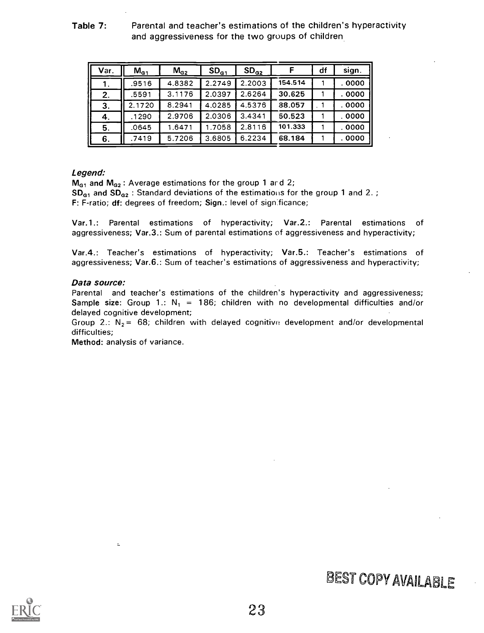Table 7: Parental and teacher's estimations of the children's hyperactivity and aggressiveness for the two groups of children

| Var. | $M_{G1}$ | $M_{G2}$ | SD <sub>G1</sub> | SD <sub>G2</sub> |         | df | sign. |
|------|----------|----------|------------------|------------------|---------|----|-------|
| Ί.   | .9516    | 4.8382   | 2.2749           | 2.2003           | 154.514 |    | .0000 |
| 2.   | .5591    | 3.1176   | 2.0397           | 2.6264           | 30.625  |    | .0000 |
| 3.   | 2.1720   | 8.2941   | 4.0285           | 4.5376           | 88.057  |    | .0000 |
| 4.   | 1290     | 2.9706   | 2.0306           | 3.4341           | 50.523  |    | .0000 |
| 5.   | .0645    | 1.6471   | .7058            | 2.8116           | 101.333 |    | .0000 |
| 6.   | .7419    | 5.7206   | 3.6805           | 6.2234           | 68.184  |    | .0000 |

### Legend:

 $M_{\text{G1}}$  and  $M_{\text{G2}}$ : Average estimations for the group 1 ard 2;  $SD<sub>G1</sub>$  and  $SD<sub>G2</sub>$ : Standard deviations of the estimations for the group 1 and 2.; F: F-ratio; df: degrees of freedom; Sign.: level of significance;

Var.1.: Parental estimations of hyperactivity; Var.2.: Parental estimations of aggressiveness; Var.3.: Sum of parental estimations of aggressiveness and hyperactivity;

Var.4.: Teacher's estimations of hyperactivity; Var.5.: Teacher's estimations of aggressiveness; Var.6.: Sum of teacher's estimations of aggressiveness and hyperactivity;

#### Data source:

Parental and teacher's estimations of the children's hyperactivity and aggressiveness; Sample size: Group 1.:  $N_1 = 186$ ; children with no developmental difficulties and/or delayed cognitive development;

Group 2.:  $N_2$  = 68; children with delayed cognitive development and/or developmental difficulties;

Method: analysis of variance.

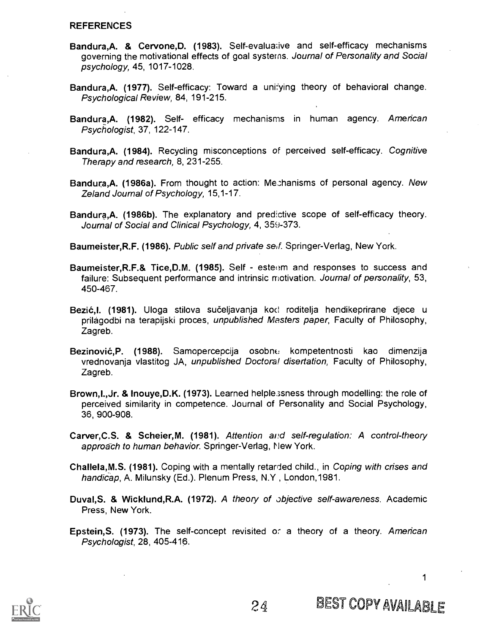#### **REFERENCES**

- Bandura,A. & Cervone,D. (1983). Self-evaluative and self-efficacy mechanisms governing the motivational effects of goal systems. Journal of Personality and Social psychology, 45, 1017-1028.
- Bandura,A. (1977). Self-efficacy: Toward a unifying theory of behavioral change. Psychological Review, 84, 191-215.
- Bandura, A. (1982). Self- efficacy mechanisms in human agency. American Psychologist, 37, 122-147.
- Bandura, A. (1984). Recycling misconceptions of perceived self-efficacy. Coanitive Therapy and research, 8, 231-255.
- Bandura,A. (1986a). From thought to action: Mechanisms of personal agency. New Zeland Journal of Psychology, 15,1-17.
- Bandura,A. (1986b). The explanatory and predictive scope of self-efficacy theory. Journal of Social and Clinical Psychology, 4, 359-373.

Baumeister, R.F. (1986). Public self and private self. Springer-Verlag, New York.

- Baumeister,R.F.& Tice,D.M. (1985). Self esteem and responses to success and failure: Subsequent performance and intrinsic motivation. Journal of personality, 53, 450-467.
- Bezić,I. (1981). Uloga stilova sučeljavanja kocl roditelja hendikeprirane diece u prilagodbi na terapijski proces, unpublished Masters paper, Faculty of Philosophy, Zagreb.
- Bezinović, P. (1988). Samopercepcija osobno kompetentnosti kao dimenzija vrednovanja vlastitog JA, *unpublished Doctoral disertation*, Faculty of Philosophy, Zagreb.
- Brown,I.,Jr. & Inouye,D.K. (1973). Learned helple.3sness through modelling: the role of perceived similarity in competence. Journal of Personality and Social Psychology, 36, 900-908.
- Carver, C.S. & Scheier, M. (1981). Attention and self-regulation: A control-theory approach to human behavior. Springer-Verlag, New York.
- Challela,M.S. (1981). Coping with a mentally retarded child., in Coping with crises and handicap, A. Milunsky (Ed.). Plenum Press, N.Y , London,1981.
- Duval,S. & Wicklund,R.A. (1972). A theory of objective self-awareness. Academic Press, New York.
- Epstein,S. (1973). The self-concept revisited or a theory of a theory. American Psychologist, 28, 405-416.



1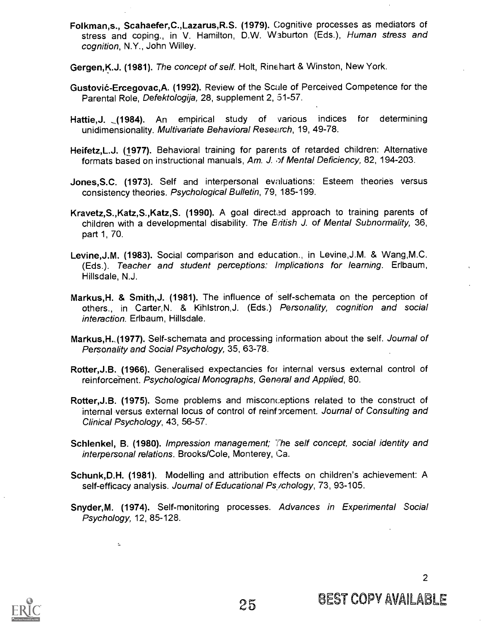- Folkman,s., Scahaefer,C.,Lazarus,R.S. (1979). Cognitive processes as mediators of stress and coping., in V. Hamilton, D.W. Waburton (Eds.), Human stress and cognition, N.Y., John Willey.
- Gergen,K.J. (1981). The concept of self. Holt, Rinehart & Winston, New York.
- Gustović-Ercegovac, A. (1992). Review of the Scale of Perceived Competence for the Parental Role, Defektologija, 28, supplement 2, 51-57.
- Hattie, J. (1984). An empirical study of various indices for determining unidimensionality. Multivariate Behavioral Research, 19, 49-78.
- Heifetz,L.J. (1977). Behavioral training for parents of retarded children: Alternative formats based on instructional manuals, Am. J. of Mental Deficiency, 82, 194-203.
- Jones,S.C. (1973). Self and interpersonal evaluations: Esteem theories versus consistency theories. Psychological Bulletin, 79, 185-199.
- Kravetz, S., Katz, S., Katz, S. (1990). A goal directed approach to training parents of children with a developmental disability. The British J. of Mental Subnormality, 36, part 1,70.
- Levine,J.M. (1983). Social comparison and education., in Levine,J.M. & Wang,M.C. (Eds.). Teacher and student perceptions: Implications for learning. Erlbaum, Hillsdale, N.J.
- Markus,H. & Smith,J. (1981). The influence of self-schemata on the perception of others., in Carter,N. & Kihlstron,J. (Eds.) Personality, cognition and social interaction. Erlbaum, Hillsdale.
- Markus, H. (1977). Self-schemata and processing information about the self. Journal of Personality and Social Psychology, 35, 63-78.
- Rotter, J.B. (1966). Generalised expectancies for internal versus external control of reinforcement. Psychological Monographs, General and Applied, 80.
- Rofter,J.B. (1975). Some problems and misconceptions related to the construct of internal versus external locus of control of reinforcement. Journal of Consulting and Clinical Psychology, 43, 56-57.
- Schlenkel, B. (1980). Impression management; The self concept, social identity and interpersonal relations. Brooks/Cole, Monterey, Ca.
- Schunk,D.H. (1981). Modelling and attribution effects on children's achievement: A self-efficacy analysis. Journal of Educational Ps / chology, 73, 93-105.
- Snyder, M. (1974). Self-monitoring processes. Advances in Experimental Social Psychology, 12, 85-128.



 $\sim$ 

2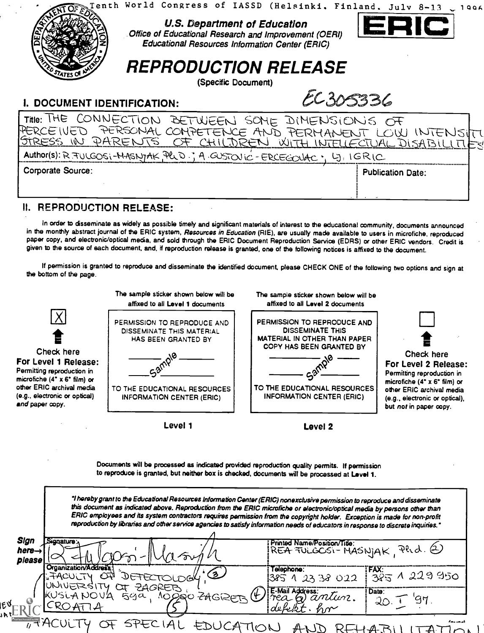|                             | Tenth World Congress of IASSD (Helsinki, Finland, July 8-13 , 1996<br><b>U.S. Department of Education</b><br>Office of Educational Research and Improvement (OERI)<br>Educational Resources Information Center (ERIC)<br><b>REPRODUCTION RELEASE</b><br>(Specific Document) | ERIC                     |
|-----------------------------|-----------------------------------------------------------------------------------------------------------------------------------------------------------------------------------------------------------------------------------------------------------------------------|--------------------------|
| I. DOCUMENT IDENTIFICATION: |                                                                                                                                                                                                                                                                             | EC 305336                |
|                             | THE THE CONNECTION BETWEEN SOME DIMENSIONS OF<br>PERCEIVED PERSONAL COMPETENCE AND PERMANENT LOW INTENSITY                                                                                                                                                                  |                          |
|                             | Author(s): R FULGOSI-MASNIAK PUD; A GUSTOVIC - ERCEGOVAC; LJ: IGRIC                                                                                                                                                                                                         |                          |
| Corporate Source:           |                                                                                                                                                                                                                                                                             | <b>Publication Date:</b> |
|                             |                                                                                                                                                                                                                                                                             |                          |

# II. REPRODUCTION RELEASE:

In order to disseminate as widely as possible timely and significant materials of interest to the educational community, documents announced in the monthly abstract journal of the ERIC system, Resources in Education (RIE), are usually made available to users in microfiche, reproduced paper copy, and electronic/optical media, and sold through the ERIC Document Reproduction Service (EDRS) or other ERIC vendors. Credit is given to the source of each document, and, if reproduction release is granted, one of the following notices is affixed to the document.

If permission is granted to reproduce and disseminate the identified document, please CHECK ONE of the following two options and sign at the bottom of the page.

| $ \bm{\mathsf{X}} $<br>Check here<br>For Level 1 Release:<br>Permitting reproduction in<br>microfiche $(4^{\circ} \times 6^{\circ} \text{ film})$ or<br>other ERIC archival media<br>(e.g., electronic or optical)<br>and paper copy. | The sample sticker shown below will be<br>affixed to all Level 1 documents<br>PERMISSION TO REPRODUCE AND<br>DISSEMINATE THIS MATERIAL<br>HAS BEEN GRANTED BY<br>TO THE EDUCATIONAL RESOURCES<br><b>INFORMATION CENTER (ERIC)</b>                                                                                                                                                                                                                                                                                           | The sample sticker shown below will be<br>affixed to all Level 2 documents<br>PERMISSION TO REPRODUCE AND<br><b>DISSEMINATE THIS</b><br><b>MATERIAL IN OTHER THAN PAPER</b><br>COPY HAS BEEN GRANTED BY<br>TO THE EDUCATIONAL RESOURCES<br>INFORMATION CENTER (ERIC) | Check here<br>For Level 2 Release:<br>Permitting reproduction in<br>microfiche $(4^* \times 6^*$ film) or<br>other ERIC archival media<br>(e.g., electronic or optical),<br>but not in paper copy. |
|---------------------------------------------------------------------------------------------------------------------------------------------------------------------------------------------------------------------------------------|-----------------------------------------------------------------------------------------------------------------------------------------------------------------------------------------------------------------------------------------------------------------------------------------------------------------------------------------------------------------------------------------------------------------------------------------------------------------------------------------------------------------------------|----------------------------------------------------------------------------------------------------------------------------------------------------------------------------------------------------------------------------------------------------------------------|----------------------------------------------------------------------------------------------------------------------------------------------------------------------------------------------------|
|                                                                                                                                                                                                                                       | Level 1                                                                                                                                                                                                                                                                                                                                                                                                                                                                                                                     | Level <sub>2</sub>                                                                                                                                                                                                                                                   |                                                                                                                                                                                                    |
|                                                                                                                                                                                                                                       | Documents will be processed as indicated provided reproduction quality permits. If permission<br>to reproduce is granted, but neither box is checked, documents will be processed at Level 1.                                                                                                                                                                                                                                                                                                                               |                                                                                                                                                                                                                                                                      |                                                                                                                                                                                                    |
|                                                                                                                                                                                                                                       | "I hereby grant to the Educational Resources Information Center (ERIC) nonexclusive permission to reproduce and disseminate<br>this document as indicated above. Reproduction from the ERIC microfiche or electronic/optical media by persons other than<br>ERIC employees and its system contractors requires permission from the copyright holder. Exception is made for non-profit<br>reproduction by libraries and other service agencies to satisfy information needs of educators in response to discrete inquiries." |                                                                                                                                                                                                                                                                      |                                                                                                                                                                                                    |
| <b>Sign</b><br>Signature:<br>here $\rightarrow$<br>please                                                                                                                                                                             |                                                                                                                                                                                                                                                                                                                                                                                                                                                                                                                             | Printed Name/Position/Title:<br>REA FULGOSI-MASNIAK, Pl $\alpha$ d. (2)                                                                                                                                                                                              |                                                                                                                                                                                                    |
| Organization/Address:<br>FACUI TY<br>UNIVERSITY                                                                                                                                                                                       | $\alpha$                                                                                                                                                                                                                                                                                                                                                                                                                                                                                                                    | Telephone:<br><b>FAX:</b><br>385 1 23 38 022<br>E-Mail Address:                                                                                                                                                                                                      | 385 1 229 950                                                                                                                                                                                      |